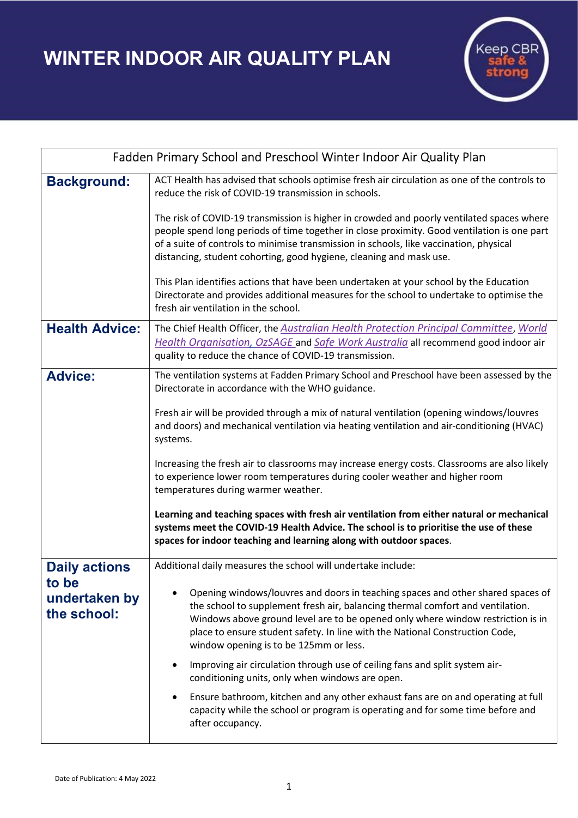WINTER INDOOR AIR QUALITY PLAN



| Fadden Primary School and Preschool Winter Indoor Air Quality Plan |                                                                                                                                                                                                                                                                                                                                                                                |
|--------------------------------------------------------------------|--------------------------------------------------------------------------------------------------------------------------------------------------------------------------------------------------------------------------------------------------------------------------------------------------------------------------------------------------------------------------------|
| <b>Background:</b>                                                 | ACT Health has advised that schools optimise fresh air circulation as one of the controls to<br>reduce the risk of COVID-19 transmission in schools.                                                                                                                                                                                                                           |
|                                                                    | The risk of COVID-19 transmission is higher in crowded and poorly ventilated spaces where<br>people spend long periods of time together in close proximity. Good ventilation is one part<br>of a suite of controls to minimise transmission in schools, like vaccination, physical<br>distancing, student cohorting, good hygiene, cleaning and mask use.                      |
|                                                                    | This Plan identifies actions that have been undertaken at your school by the Education<br>Directorate and provides additional measures for the school to undertake to optimise the<br>fresh air ventilation in the school.                                                                                                                                                     |
| <b>Health Advice:</b>                                              | The Chief Health Officer, the Australian Health Protection Principal Committee, World<br>Health Organisation, OzSAGE and Safe Work Australia all recommend good indoor air<br>quality to reduce the chance of COVID-19 transmission.                                                                                                                                           |
| <b>Advice:</b>                                                     | The ventilation systems at Fadden Primary School and Preschool have been assessed by the<br>Directorate in accordance with the WHO guidance.                                                                                                                                                                                                                                   |
|                                                                    | Fresh air will be provided through a mix of natural ventilation (opening windows/louvres<br>and doors) and mechanical ventilation via heating ventilation and air-conditioning (HVAC)<br>systems.                                                                                                                                                                              |
|                                                                    | Increasing the fresh air to classrooms may increase energy costs. Classrooms are also likely<br>to experience lower room temperatures during cooler weather and higher room<br>temperatures during warmer weather.                                                                                                                                                             |
|                                                                    | Learning and teaching spaces with fresh air ventilation from either natural or mechanical<br>systems meet the COVID-19 Health Advice. The school is to prioritise the use of these<br>spaces for indoor teaching and learning along with outdoor spaces.                                                                                                                       |
| <b>Daily actions</b><br>to be<br>undertaken by<br>the school:      | Additional daily measures the school will undertake include:                                                                                                                                                                                                                                                                                                                   |
|                                                                    | Opening windows/louvres and doors in teaching spaces and other shared spaces of<br>the school to supplement fresh air, balancing thermal comfort and ventilation.<br>Windows above ground level are to be opened only where window restriction is in<br>place to ensure student safety. In line with the National Construction Code,<br>window opening is to be 125mm or less. |
|                                                                    | Improving air circulation through use of ceiling fans and split system air-<br>conditioning units, only when windows are open.                                                                                                                                                                                                                                                 |
|                                                                    | Ensure bathroom, kitchen and any other exhaust fans are on and operating at full<br>$\bullet$<br>capacity while the school or program is operating and for some time before and<br>after occupancy.                                                                                                                                                                            |